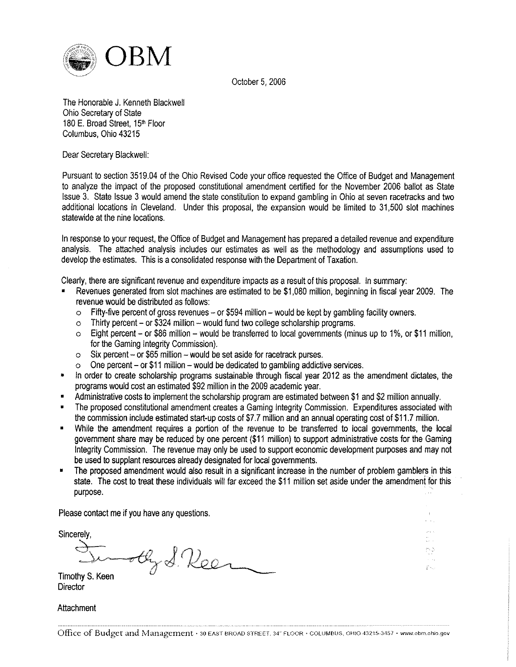

October 5, 2006

The Honorable J. Kenneth Blackwell Ohio Secretary of State 180 E. Broad Street, 15<sup>th</sup> Floor Columbus, Ohio 43215

Dear Secretary Blackwell:

Pursuant to section 3519.04 of the Ohio Revised Code your office requested the Office of Budget and Management to analyze the impact of the proposed constitutional amendment certified for the November 2006 ballot as State Issue 3. State Issue 3 would amend the state constitution to expand gambling in Ohio at seven racetracks and two additional locations in Cleveland. Under this proposal, the expansion would be limited to 31,500 slot machines statewide at the nine locations.

In response to your request, the Office of Budget and Management has prepared a detailed revenue and expenditure analysis. The attached analysis includes our estimates as well as the methodology and assumptions used to develop the estimates. This is a consolidated response with the Department of Taxation.

Clearly, there are significant revenue and expenditure impacts as a result of this proposal. In summary:

- ? Revenues generated from slot machines are estimated to be \$1,080 million, beginning in fiscal year 2009. The revenue would be distributed as follows:
	- o Fifty-five percent of gross revenues or \$594 million would be kept by gambling facility owners.
	- o Thirty percent- or \$324 million- would fund two college scholarship programs.
	- 0 Eight percent- or \$86 million would be transferred to local govemments (minus up to 1%, or \$11 million, for the Gaming Integrity Commission).
	- o Six percent- or \$65 million would be set aside for racetrack purses.
	- o One percent- or \$11 million would be dedicated to gambling addictive services.
- ? In order to create scholarship programs sustainable through fiscal year 2012 as the amendment dictates, the programs would cost an estimated \$92 million in the 2009 academic year.
- ? Administrative costs to implement the scholarship program are estimated between \$1 and \$2 million annually.
- ? The proposed constitutional amendment creates a Gaming Integrity Commission. Expenditures associated with the commission include estimated start-up costs of \$7.7 million and an annual operating cost of \$11.7 million.
- ? While the amendment requires a portion of the revenue to be transferred to local govemments, the local govemment share may be reduced by one percent (\$11 million) to support administrative costs for the Gaming Integrity Commission. The revenue may only be used to support economic development purposes and may not be used to supplant resources already designated for local govemments.
- ? The proposed amendment would also result in a significant increase in the number of problem gamblers in this state. The cost to treat these individuals will far exceed the \$11 million set aside under the amendment for this purpose.

 $\binom{N_{\rm{N}}-N_{\rm{N}}}{N}$  $\int_0^{1} \gamma_{\rm max}$ 

Please contact me if you have any questions.

Sincerely

Hy S. Reen

Timothy S. Keen **Director** 

**Attachment**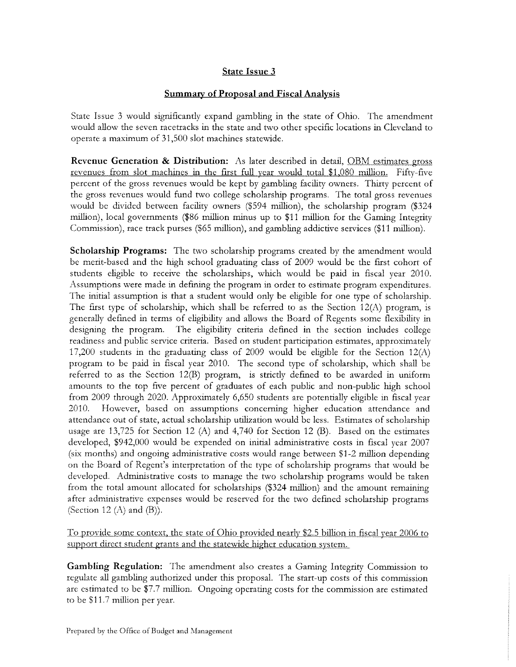# State Issue 3

## Summary of Proposal and Fiscal Analysis

State Issue 3 would significantly expand gambling in the state of Ohio. The amendment would allow the seven racetracks in the state and two other specific locations in Cleveland to operate a maximum of 31,500 slot machines statewide.

Revenue Generation & Distribution: As later described in detail, OBM estimates gross revenues from slot machines in the first full year would total \$1,080 million. Fifty-five percent of the gross revenues would be kept by gambling facility owners. Thirty percent of the gross revenues would fund two college scholarship programs. The total gross revenues would be divided between facility owners (\$594 million), the scholarship program (\$324 million), local governments (\$86 million minus up to \$11 million for the Gaming Integrity Commission), race track purses (\$65 million), and gambling addictive services (\$11 million).

Scholarship Programs: The two scholarship programs created by the amendment would be merit-based and the high school graduating class of 2009 would be the first cohort of students eligible to receive the scholarships, which would be paid in fiscal year 2010. Assumptions were made in defining the program in order to estimate program expenditures. The initial assumption is that a student would only be eligible for one type of scholarship. The first type of scholarship, which shall be referred to as the Section 12(A) program, is generally defined in terms of eligibility and allows the Board of Regents some flexibility in designing the program. The eligibility criteria defined in the section includes college readiness and public service criteria. Based on student participation estimates, approximately 17,200 students in the graduating class of 2009 would be eligible for the Section 12(A) program to be paid in fiscal year 2010. The second type of scholarship, which shall be referred to as the Section 12(B) program, is strictly defined to be awarded in uniform amounts to the top five percent of graduates of each public and non-public high school from 2009 through 2020. Approximately 6,650 students are potentially eligible in fiscal year 2010. However, based on assumptions concerning higher education attendance and attendance out of state, actual scholarship utilization would be less. Estimates of scholarship usage are 13,725 for Section 12 (A) and 4,740 for Section 12 (B). Based on the estimates developed, \$942,000 would be expended on initial administrative costs in fiscal year 2007 (six months) and ongoing administrative costs would range between \$1-2 million depending on the Board of Regent's interpretation of the type of scholarship programs that would be developed. Administrative costs to manage the two scholarship programs would be taken from the total amount allocated for scholarships (\$324 million) and the amount remaining after administrative expenses would be reserved for the two defined scholarship programs (Section 12 $(A)$  and  $(B)$ ).

To provide some context, the state of Ohio provided nearly \$2.5 billion in fiscal year 2006 to support direct student grants and the statewide higher education system.

Gambling Regulation: The amendment also creates a Gaming Integrity Commission to regulate all gambling authorized under this proposal. The start-up costs of this commission are estimated to be \$7.7 million. Ongoing operating costs for the commission are estimated to be \$11.7 million per year.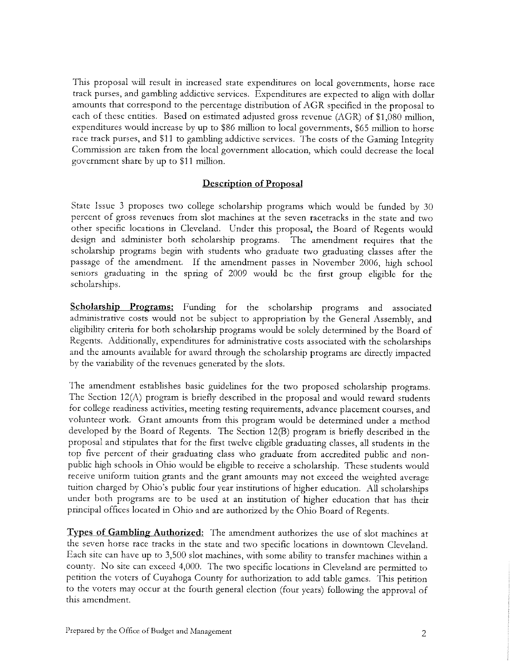This proposal will result in increased state expenditures on local governments, horse race track purses, and gambling addictive services. Expenditures are expected to align with dollar amounts that correspond to the percentage distribution of AGR specified in the proposal to each of these entities. Based on estimated adjusted gross revenue (AGR) of \$1,080 million, expenditures would increase by up to \$86 million to local governments, \$65 million to horse race track purses, and \$11 to gambling addictive services. The costs of the Gaming Integrity Commission are taken from the local government allocation, which could decrease the local government share by up to \$11 million.

## Description of Proposal

State Issue 3 proposes two college scholarship programs which would be funded by <sup>30</sup> percent of gross revenues from slot machines at the seven racetracks in the state and two other specific locations in Cleveland. Under this proposal, the Board of Regents would design and administer both scholarship programs. The amendment requires that the scholarship programs begin with students who graduate two graduating classes after the passage of the amendment. If the amendment passes in November 2006, high school seniors graduating in the spring of 2009 would be the first group eligible for the scholarships.

Scholarship Programs: Funding for the scholarship programs and associated administrative costs would not be subject to appropriation by the General Assembly, and eligibility criteria for both scholarship programs would be solely determined by the Board of Regents. Additionally, expenditures for administrative costs associated with the scholarships and the amounts available for award through the scholarship programs are directly impacted by the variability of the revenues generated by the slots.

The amendment establishes basic guidelines for the two proposed scholarship programs. The Section 12(A) program is briefly described in the proposal and would reward students for college readiness activities, meeting testing requirements, advance placement courses, and volunteer work. Grant amounts from this program would be determined under a method developed by the Board of Regents. The Section 12(B) program is briefly described in the proposal and stipulates that for the first twelve eligible graduating classes, all students in the top five percent of their graduating class who graduate from accredited public and nonpublic high schools in Ohio would be eligible to receive a scholarship. These students would receive uniform tuition grants and the grant amounts may not exceed the weighted average tuition charged by Ohio's public four year institutions of higher education. All scholarships under both programs are to be used at an institution of higher education that has their principal offices located in Ohio and are authorized by the Ohio Board of Regents.

Types of Gambling Authorized: The amendment authorizes the use of slot machines at the seven horse race tracks in the state and two specific locations in downtown Cleveland. Each site can have up to 3,500 slot machines, with some ability to transfer machines within <sup>a</sup>county. No site can exceed 4,000. The two specific locations in Cleveland are permitted to petition the voters of Cuyahoga County for authorization to add table games. This petition to the voters may occur at the fourth general election (four years) following the approval of this amendment.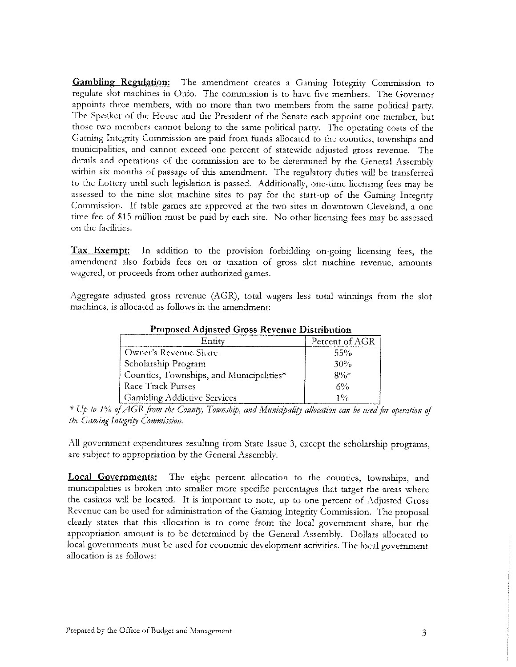Gambling Regulation: The amendment creates a Gaming Integrity Commission to regulate slot machines in Ohio. The commission is to have five members. The Governor appoints three members, with no more than two members from the same political party. The Speaker of the House and the President of the Senate each appoint one member, but those two members cannot belong to the same political party. The operating costs of the Gaming Integrity Commission are paid from funds allocated to the counties, townships and municipalities, and cannot exceed one percent of statewide adjusted gross revenue. The details and operations of the commission are to be determined by the General Assembly within six months of passage of this amendment. The regulatory duties will be transferred to the Lottery until such legislation is passed. Additionally, one-time licensing fees may be assessed to the nine slot machine sites to pay for the start-up of the Gaming Integrity Commission. If table games are approved at the two sites in downtown Cleveland, a one time fee of \$15 million must be paid by each site. No other licensing fees may be assessed on the facilities.

Tax Exempt: In addition to the provision forbidding on-going licensing fees, the amendment also forbids fees on or taxation of gross slot machine revenue, amounts wagered, or proceeds from other authorized games.

Aggregate adjusted gross revenue (AGR), total wagers less total winnings from the slot machines, is allocated as follows in the amendment:

| Entity                                   | Percent of AGR |
|------------------------------------------|----------------|
| Owner's Revenue Share                    | 55%            |
| Scholarship Program                      | 30%            |
| Counties, Townships, and Municipalities* | $80/s*$        |
| Race Track Purses                        | 6%             |
| <b>Gambling Addictive Services</b>       | 19/6           |

Proposed Adjusted Gross Revenue Distribution

\* Up to 1% of AGR from the County, Township, and Municipality allocation can be used for operation of the Gaming Integrity Commission.

All government expenditures resulting from State Issue 3, except the scholarship programs, are subject to appropriation by the General Assembly.

Local Governments: The eight percent allocation to the counties, townships, and municipalities is broken into smaller more specific percentages that target the areas where the casinos will be located. It is important to note, up to one percent of Adjusted Gross Revenue can be used for administration of the Gaming Integrity Commission. The proposal clearly states that this allocation is to come from the local government share, but the appropriation amount is to be determined by the General Assembly. Dollars allocated to local governments must be used for economic development activities. The local government allocation is as follows: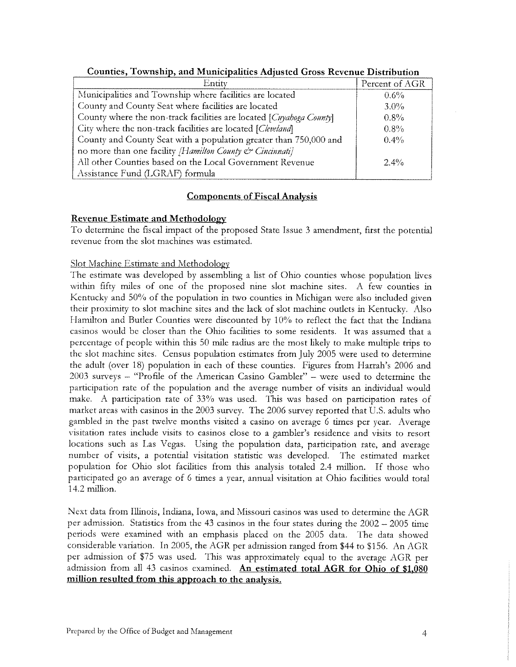| Entity                                                              | Percent of AGR |
|---------------------------------------------------------------------|----------------|
| Municipalities and Township where facilities are located            | $0.6\%$        |
| County and County Seat where facilities are located                 | $3.0\%$        |
| County where the non-track facilities are located [Cuyahoga County] | $0.8\%$        |
| City where the non-track facilities are located [Cleveland]         | 0.8%           |
| County and County Seat with a population greater than 750,000 and   | $0.4\%$        |
| no more than one facility /Hamilton County & Cincinnati]            |                |
| All other Counties based on the Local Government Revenue            | $2.4\%$        |
| Assistance Fund (LGRAF) formula                                     |                |

Counties, Township, and Municipalities Adjusted Gross Revenue Distribution

## Components of Fiscal Analysis

## Revenue Estimate and Methodology

To determine the fiscal impact of the proposed State Issue 3 amendment, first the potential revenue from the slot machines was estimated.

## Slot Machine Estimate and Methodoloey

The estimate was developed by assembling a list of Ohio counties whose population lives within fifty miles of one of the proposed nine slot machine sites. A few counties in Kentucky and 50% of the population in two counties in Michigan were also included given their proximity to slot machine sites and the lack of slot machine outlets in Kentucky. Also Hamilton and Butler Counties were discounted by 10% to reflect the fact that the Indiana casinos would be closer than the Ohio facilities to some residents. It was assumed that a percentage of people within this 50 mile radius are the most likely to make multiple trips to the slot machine sites. Census population estimates from July 2005 were used to determine the adult (over 18) population in each of these counties. Figures from Harrah's 2006 and 2003 surveys - "Profile of the American Casino Gambler" - were used to determine the participation rate of the population and the average number of visits an individual would make. A participation rate of 33% was used. This was based on participation rates of market areas with casinos in the 2003 survey. The 2006 survey reported that U.S. adults who gambled in the past twelve months visited <sup>a</sup>casino on average 6 times per year. Average visitation rates include visits to casinos close to a gambler's residence and visits to resort locations such as Las Vegas. Using the population data, participation rate, and average number of visits, a potential visitation statistic was developed. The estimated market population for Ohio slot facilities from this analysis totaled 2.4 million. If those who participated go an average of 6 times a year, annual visitation at Ohio facilities would total 14.2 million.

Next data from Illinois, Indiana, Iowa, and Missouri casinos was used to determine the AGR per admission. Statistics from the 43 casinos in the four states during the  $2002 - 2005$  time periods were examined with an emphasis placed on the 2005 data. The data showed considerable variation. In 2005, the AGR per admission ranged from \$44 to \$156. An AGR per admission of \$75 was used. This was approximately equal to the average AGR per admission from all 43 casinos examined. An estimated total AGR for Ohio of \$1,080 million resulted from this approach to the analysis.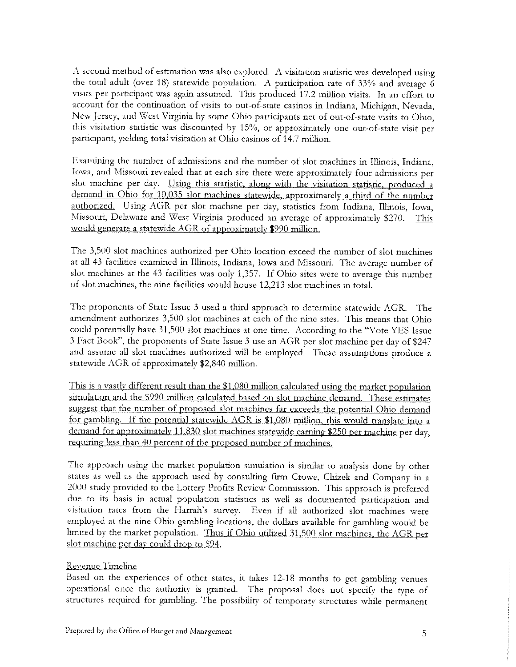A second method of estimation was also explored. A visitation statistic was developed using the total adult (over 18) statewide population. A participation rate of 33% and average <sup>6</sup> visits per participant was again assumed. This produced 17.2 million visits. In an effort to account for the continuation of visits to out-of-state casinos in Indiana, Michigan, Nevada, New Jersey, and West Virginia by some Ohio participants net of out-of-state visits to Ohio, this visitation statistic was discounted by 15%, or approximately one out-of-state visit per participant, yielding total visitation at Ohio casinos of 14.7 million.

Examining the number of admissions and the number of slot machines in Illinois, Indiana, Iowa, and Missouri revealed that at each site there were approximately four admissions per slot machine per day. Using this statistic, along with the visitation statistic, produced a demand in Ohio for 10,035 slot machines statewide, approximately a third of the number authorized. Using AGR per slot machine per day, statistics from Indiana, Illinois, Iowa, Missouri, Delaware and West Virginia produced an average of approximately \$270. This would generate a statewide AGR of approximately \$990 million.

The 3,500 slot machines authorized per Ohio location exceed the number of slot machines at all 43 facilities examined in Illinois, Indiana, Iowa and Missouri. The average number of slot machines at the 43 facilities was only 1,357. If Ohio sites were to average this number of slot machines, the nine facilities would house 12,213 slot machines in total.

The proponents of State Issue 3 used <sup>a</sup>third approach to determine statewide AGR. The amendment authorizes 3,500 slot machines at each of the nine sites. This means that Ohio could potentially have 31,500 slot machines at one time. According to the "Vote YES Issue <sup>3</sup>Fact Book", the proponents of State Issue 3 use an AGR per slot machine per day of \$247 and assume all slot machines authorized will be employed. These assumptions produce a statewide AGR of approximately \$2,840 million.

This is a vastly different result than the \$1,080 million calculated using the market population simulation and the \$990 million calculated based on slot machine demand. These estimates suggest that the number of proposed slot machines far exceeds the potential Ohio demand for gambling. If the potential statewide AGR is \$1,080 million, this would translate into a demand for approximately 11,830 slot machines statewide earning \$250 per machine per day, requiring less than 40 percent of the proposed number of machines

The approach using the market population simulation is similar to analysis done by other states as well as the approach used by consulting firm Crowe, Chizek and Company in a<br>2000 study provided to the Lottery Profits Review Commission. This approach is preferred<br>due to its basis in actual population statistic visitation rates from the Harrah's survey. Even if all authorized slot machines were employed at the nine Ohio gambling locations, the dollars available for gambling would be limited by the market population. Thus if Ohio utilized 31,500 slot machines, the AGR per slot machine per day could drop to \$94.

#### Revenue Timeline

Based on the experiences of other states, it takes 12-18 months to get gambling venues operational once the authority is granted. The proposal does not specify the type of structures required for gambling. The possibility of temporary structures while permanent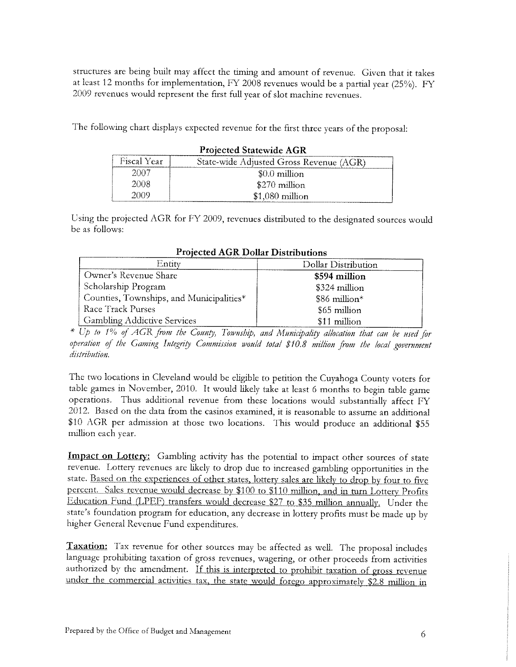structures are being built may affect the timing and amount of revenue. Given that it takes at least 12 months for implementation, FY 2008 revenues would be a partial year (25%). FY 2009 revenues would represent the first full year of slot machine revenues.

The following chart displays expected revenue for the first three years of the proposal:

| Projected Statewide AGR |                                         |  |  |  |
|-------------------------|-----------------------------------------|--|--|--|
| Fiscal Year             | State-wide Adjusted Gross Revenue (AGR) |  |  |  |
| 2007                    | $$0.0$ million                          |  |  |  |
| 2008                    | \$270 million                           |  |  |  |
| 2009                    | $$1,080$ million                        |  |  |  |

# Projected Statewide AGR

Using the projected AGR for FY 2009, revenues distributed to the designated sources would be as follows:

| Entity                                   | Dollar Distribution |  |  |  |
|------------------------------------------|---------------------|--|--|--|
| Owner's Revenue Share                    | \$594 million       |  |  |  |
| Scholarship Program                      | \$324 million       |  |  |  |
| Counties, Townships, and Municipalities* | $$86$ million*      |  |  |  |
| Race Track Purses                        | $$65$ million       |  |  |  |
| <b>Gambling Addictive Services</b>       | \$11 million        |  |  |  |

Projected AGR Dollar Distributions

\* Up to 1% of AGR from the County, Township, and Municipality allocation that can be used for operation of the Gaming Integrity Commission would total \$10.8 million from the local government<br>distribution.

The two locations in Cleveland would be eligible to petition the Cuyahoga County voters for table games in November, 2010. It would likely take at least 6 months to begin table game operations. Thus additional revenue from these locations would substantially affect FY 2012. Based on the data from the casinos examined, it is reasonable to assume an additional \$10 AGR per admission at those two locations. This would produce an additional \$55 million each year.

Impact on Lottery: Gambling activity has the potential to impact other sources of state revenue. Lottery revenues are likely to drop due to increased gambling opportunities in the state. Based on the experiences of other states, lottery sales are likely to drop by four to five percent. Sales revenue would decrease by \$100 to \$110 million, and in turn Lottery Profits Education Fund (LPEF) transfers would decrease \$27 to \$35 million annually. Under the state's foundation program for education, any decrease in lottery profits must be made up by higher General Revenue Fund expenditures.

Taxation: Tax revenue for other sources may be affected as well. The proposal includes language prohibiting taxation of gross revenues, wagering, or other proceeds from activities authorized by the amendment. If this is interpreted to prohibit taxation of gross revenue under the commercial activities tax, the state would forego approximately \$2.8 million in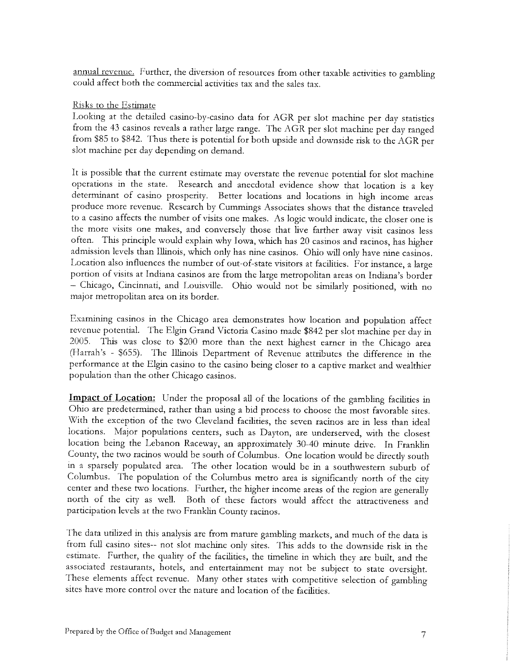annual revenue. Further, the diversion of resources from other taxable activities to gambling could affect both the commercial activities tax and the sales tax.

#### Risks to the Estimate

Looking at the detailed casino-by-casino data for AGR per slot machine per day statistics<br>from the 43 casinos reveals a rather large range. The AGR per slot machine per day ranged<br>from \$85 to \$842. Thus there is potential slot machine per day depending on demand.

It is possible that the current estimate may overstate the revenue potential for slot machine operations in the state. Research and anecdotal evidence show that location is a key determinant of casino prosperity. Better locations and locations in high income areas produce more revenue. Research by Cummings Associates shows that the distance traveled to a casino affects the number of visits one makes. As logic would indicate, the closer one is the more visits one makes, and conversely those that live farther away visit casinos less often. This principle would explain why Iowa, which has 20 casinos and racinos, has higher admission levels than Illinois, which only has nine casinos. Ohio will only have nine casinos. Location also influences the number of out-of-state visitors at facilities. For instance, a large portion of visits at Indiana casinos are from the large metropolitan areas on Indiana's border - Chicago, Cincinnati, and Louisville. Ohio would not be similarly positioned, with no major metropolitan area on its border.

Examining casinos in the Chicago area demonstrates how location and population affect revenue potential. The Elgin Grand Victoria Casino made \$842 per slot machine per day in 2005. This was close to \$200 more than the next highest earner in the Chicago area (Harrah's - \$655). The Illinois Department of Revenue attributes the difference in the performance at the Elgin casino to the casino being closer to <sup>a</sup>captive market and wealthier population than the other Chicago casinos.

Impact of Location: Under the proposal all of the locations of the gambling facilities in Ohio are predetermined, rather than using a bid process to choose the most favorable sites. With the exception of the two Cleveland facilities, the seven racinos are in less than ideal locations. Major populations centers, such as Dayton, are underserved, with the closest location being the Lebanon Raceway, an approximately 30-40 minute drive. In Franklin County, the two racinos would be south of Columbus. One location would be directly south<br>in a sparsely populated area. The other location would be in a southwestern suburb of<br>Columbus. The population of the Columbus metro participation levels at the two Franklin County racinos.

The data utilized in this analysis are from mature gambling markets, and much of the data is from full casino sites-- not slot machine only sites. This adds to the downside risk in the estimate. Further, the quality of the facilities, the timeline in which they are built, and the associated restaurants, hotels, and entertainment may not be subject to state oversight. These elements affect revenue. Many other states with competitive selection of gambling sites have more control over the nature and location of the facilities.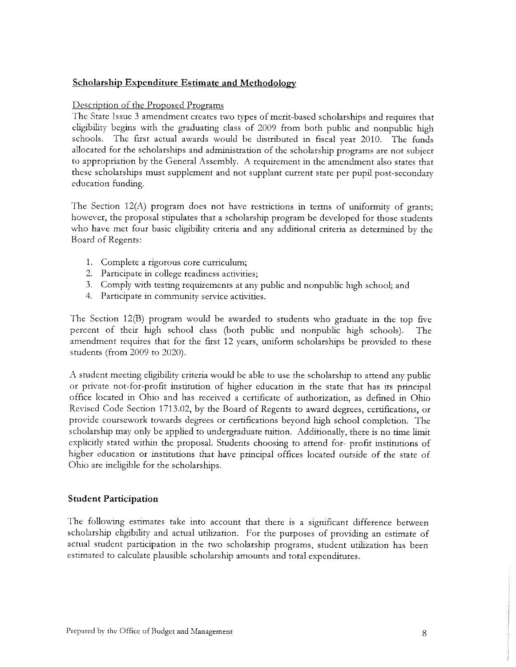## Scholarship Expenditure Estimate and Methodology

#### Description of the Proposed Programs

The State Issue 3 amendment creates two types of merit-based scholarships and requires that eligibility begins with the graduating class of 2009 from both public and nonpublic high schools. The first actual awards would be distributed in fiscal year 2010. The funds allocated for the scholarships and administration of the scholarship programs are not subject to appropriation by the General Assembly. A requirement in the amendment also states that these scholarships must supplement and not supplant current state per pupil post-secondary education funding.

The Section 12(A) program does not have restrictions in terms of uniformity of grants; however, the proposal stipulates that <sup>a</sup>scholarship program be developed for those students who have met four basic eligibility criteria and any additional criteria as determined by the Board of Regents:

- 1. Complete a rigorous core curriculum;
- 2. Participate in college readiness activities;
- 3. Comply with testing requirements at any public and nonpublic high school; and
- 4. Participate in community service activities.

The Section 12(B) program would be awarded to students who graduate in the top five percent of their high school class (both public and nonpublic high schools). The amendment requires that for the first 12 years, uniform scholarships be provided to these students (from 2009 to 2020).

A student meeting eligibility criteria would be able to use the scholarship to attend any public or private not-for-profit institution of higher education in the state that has its principal office located in Ohio and has received <sup>a</sup>certificate of authorization, as defined in Ohio Revised Code Section 1713.02, by the Board of Regents to award degrees, certifications, or provide coursework towards degrees or certifications beyond high school completion. The scholarship may only be applied to undergraduate tuition. Additionally, there is no time limit explicitly stated within the proposal. Students choosing to attend for- profit institutions of higher education or institutions that have principal offices located outside of the state of Ohio are ineligible for the scholarships.

#### Student Participation

The following estimates take into account that there is a significant difference between scholarship eligibility and actual utilization. For the purposes of providing an estimate of actual student participation in the two scholarship programs, student utilization has been estimated to calculate plausible scholarship amounts and total expenditures.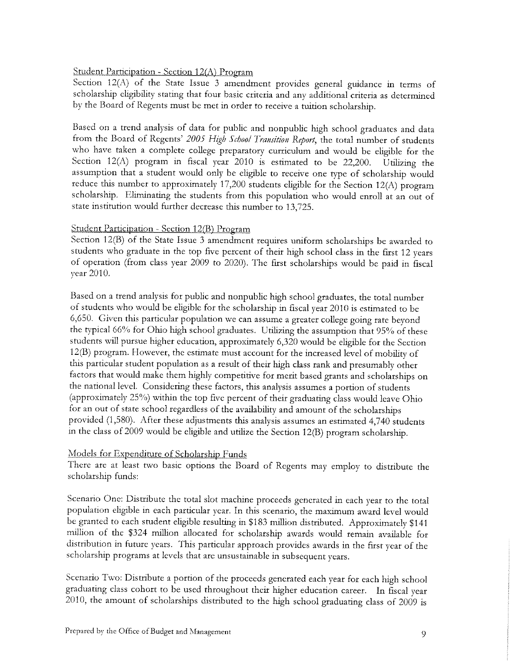## Student Participation - Section 12(A) Program

Section 12(A) of the State Issue 3 amendment provides general guidance in terms of scholarship eligibility stating that four basic criteria and any additional criteria as determined by the Board of Regents must be met in order to receive a tuition scholarship.

Based on a trend analysis of data for public and nonpublic high school graduates and data from the Board of Regents' 2005 High School Transition Report, the total number of students who have taken a complete college preparatory curriculum and would be eligible for the Section 12(A) program in fiscal year 2010 is estimated to be 22,200. Utilizing the assumption that a student would only be eligible to receive one type of scholarship would reduce this number to approximately 17,200 students eligible for the Section 12(A) program scholarship. Eliminating the students from this population who would enroll at an out of state institution would further decrease this number to 13,725.

## Student Participation - Section 12(B) Program

Section 12(B) of the State Issue 3 amendment requires uniform scholarships be awarded to students who graduate in the top five percent of their high school class in the first 12 years of operation (from class year 2009 to 2020). The first scholarships would be paid in fiscal year 2010.

Based on a trend analysis for public and nonpublic high school graduates, the total number of students who would be eligible for the scholarship in fiscal year 2010 is estimated to be 6,650. Given this particular population we can assume a greater college going rate beyond the typical 66% for Ohio high school graduates. Utilizing the assumption that 95% of these students will pursue higher education, approximately 6,320 would be eligible for the Section 12(B) program. However, the estimate must account for the increased level of mobility of this particular student population as a result of their high class rank and presumably other factors that would make them highly competitive for merit based grants and scholarships on the national level. Considering these factors, this analysis assumes a portion of students (approximately 25%) within the top five percent of their graduating class would leave Ohio for an out of state school regardless of the availability and amount of the scholarships provided (1,580). After these adjustments this analysis assumes an estimated 4,740 students in the class of 2009 would be eligible and utilize the Section 12(B) program scholarship.

## Models for Expenditure of Scholarship Funds

There are at least two basic options the Board of Regents may employ to distribute the scholarship funds:

Scenario One: Distribute the total slot machine proceeds generated in each year to the total population eligible in each particular year. In this scenario, the maximum award level would be granted to each student eligible resulting in \$183 million distributed. Approximately \$141 million of the \$324 million allocated for scholarship awards would remain available for distribution in future years. This particular approach provides awards in the first year of the scholarship programs at levels that are unsustainable in subsequent years.

Scenario Two: Distribute a portion of the proceeds generated each year for each high school graduating class cohort to be used throughout their higher education career. In fiscal year 2010, the amount of scholarships distributed to the high school graduating class of 2009 is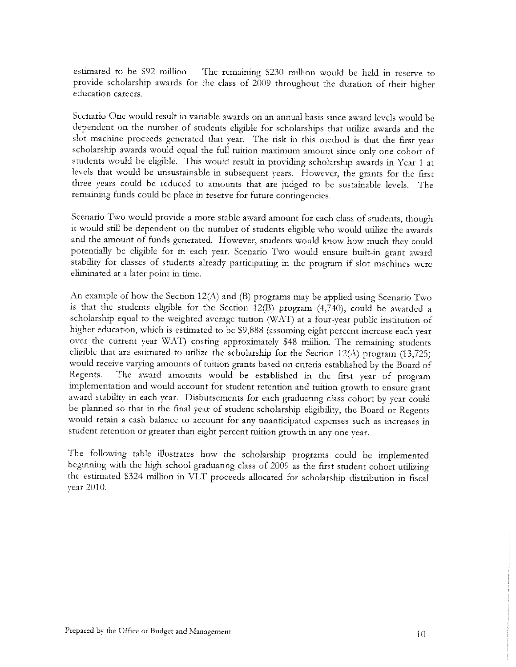estimated to be \$92 million. The remaining \$230 million would be held in reserve to provide scholarship awards for the class of 2009 throughout the duration of their higher education careers.

Scenario One would result in variable awards on an annual basis since award levels would be dependent on the number of students eligible for scholarships that utilize awards and the slot machine proceeds generated that year. The risk in this method is that the first year scholarship awards would equal the full tuition maximum amount since only one cohort of students would be eligible. This would result in providing scholarship awards in Year <sup>1</sup>at levels that would be unsustainable in subsequent years. However, the grants for the first three years could be reduced to amounts that are judged to be sustainable levels. The remaining funds could be place in reserve for future contingencies.

Scenario Two would provide a more stable award amount for each class of students, though it would still be dependent on the number of students eligible who would utilize the awards and the amount of funds generated. However, students would know how much they could potentially be eligible for in each year. Scenario Two would ensure built-in grant award stability for classes of students already participating in the program if slot machines were eliminated at a later point in time.

An example of how the Section 12(A) and (B) programs may be applied using Scenario Two is that the students eligible for the Section 12(B) program  $(4,740)$ , could be awarded a scholarship equal to the weighted average tuition (WAT) at a four-year public institution of higher education, which is estimated to be \$9,888 (assuming eight percent increase each year over the current year WNI) costing approximately \$48 million. The remaining students eligible that are estimated to utilize the scholarship for the Section 12(A) program (13,725) would receive varying amounts of tuition grants based on criteria established by the Board of Regents. The award amounts would be established in the first year of program<br>implementation and would account for student retention and tuition growth to ensure grant<br>award stability in each year. Disbursements for each gr be planned so that in the final year of student scholarship eligibility, the Board or Regents would retain a cash balance to account for any unanticipated expenses such as increases in student retention or greater than eight percent tuition growth in any one year.

The following table illustrates how the scholarship programs could be implemented beginning with the high school graduating class of 2009 as the first student cohort utilizing the estimated \$324 million in VLT proceeds allocated for scholarship distribution in fiscal year 2010.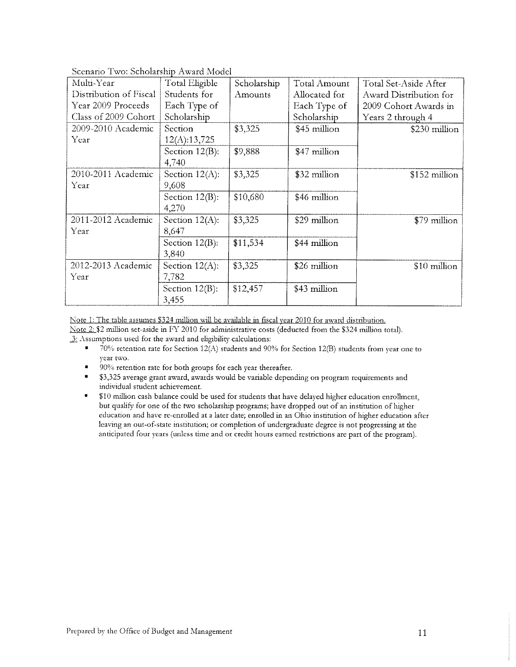| Multi-Year             | <b>Total Eligible</b> | Scholarship | <b>Total Amount</b> | Total Set-Aside After  |
|------------------------|-----------------------|-------------|---------------------|------------------------|
| Distribution of Fiscal | Students for          | Amounts     | Allocated for       | Award Distribution for |
| Year 2009 Proceeds     | Each Type of          |             | Each Type of        | 2009 Cohort Awards in  |
| Class of 2009 Cohort   | Scholarship           |             | Scholarship         | Years 2 through 4      |
| 2009-2010 Academic     | Section               | \$3,325     | \$45 million        | \$230 million          |
| Year                   | 12(A):13,725          |             |                     |                        |
|                        | Section $12(B)$ :     | \$9,888     | \$47 million        |                        |
|                        | 4,740                 |             |                     |                        |
| 2010-2011 Academic     | Section $12(A)$ :     | \$3,325     | \$32 million        | \$152 million          |
| Year                   | 9,608                 |             |                     |                        |
|                        | Section 12(B):        | \$10,680    | \$46 million        |                        |
|                        | 4,270                 |             |                     |                        |
| 2011-2012 Academic     | Section 12(A):        | \$3,325     | \$29 million        | \$79 million           |
| Year                   | 8,647                 |             |                     |                        |
|                        | Section $12(B)$ :     | \$11,534    | \$44 million        |                        |
|                        | 3,840                 |             |                     |                        |
| 2012-2013 Academic     | Section $12(A)$ :     | \$3.325     | \$26 million        | $$10$ million          |
| Year                   | 7,782                 |             |                     |                        |
|                        | Section $12(B)$ :     | \$12,457    | \$43 million        |                        |
|                        | 3,455                 |             |                     |                        |

Scenario Two: Scholarship Award Model

Note 1: The table assumes \$324 million will be available in fiscal year 2010 for award distribution.

Note 2: \$2 nullion set-aside in FY 2010 for administrative costs (deducted from the \$324 million total).

 $\frac{3}{2}$  Assumptions used for the award and eligibility calculations:

- 70% retention rate for Section 12(A) students and 90% for Section 12(B) students from year one to year two. ?
- 90% retention rate for both groups for each year thereafter. ?
- \$3,325 average grant award, awards would be variable depending on program requirements and individual student achievement. ?
- \$10 million cash balance could be used for students that have delayed higher education enrollment, but qualify for one of the two scholarship programs; have dropped out of an institution of higher education and have re-enrolled at a later date; enrolled in an Ohio institution of higher education after leaving an out-of-state institution; or completion of undergraduate degree is not progressing at the anticipated four years (unless time and or credit hours earned restrictions are part of the program). ?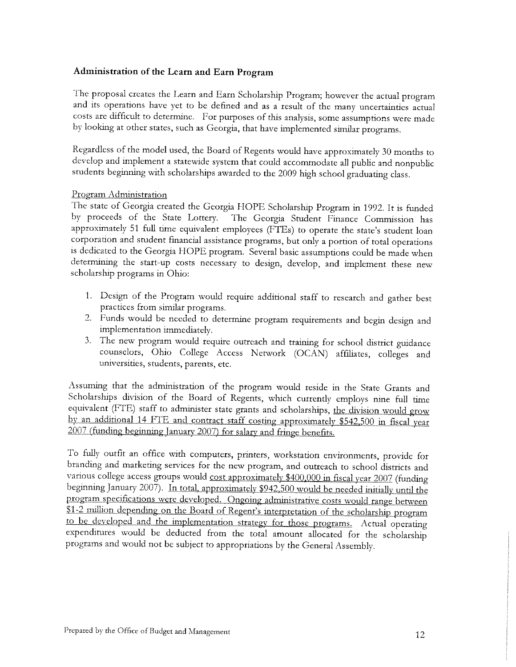## Administration of the Learn and Earn Program

The proposal creates the Learn and Earn Scholarship Program; however the actual program and its operations have yet to be defined and as a result of the many uncertainties actual costs are difficult to determine. For purposes of this analysis, some assumptions were made by looking at other states, such as Georgia, that have implemented similar programs.

Regardless of the model used, the Board of Regents would have approximately 30 months to develop and implement a statewide system that could accommodate all public and nonpublic students beginning with scholarships awarded to the 2009 high school graduating class.

## Program Administration

The state of Georgia created the Georgia HOPE Scholarship Program in 1992. It is funded by proceeds of the State Lottery. The Georgia Student Finance Commission has approximately 51 full time equivalent employees (FTEs) to operate the state's student loan corporation and student financial assistance programs, but only a portion of total operations is dedicated to the Georgia HOPE program. Several basic assumptions could be made when determining the start-up costs necessary to design, develop, and implement these new scholarship programs in Ohio:

- 1. Design of the Program would require additional staff to research and gather best practices from similar programs.
- 2. Funds would be needed to determine program requirements and begin design and implementation immediately.
- 3. The new program would require outreach and training for school district guidance counselors, Ohio College Access Network (OCAN) affiliates, colleges and universities, students, parents, etc.

Assuming that the administration of the program would reside in the State Grants and Scholarships division of the Board of Regents, which currently employs nine full time equivalent (FTE) staff to administer state grants and scholarships, the division would grow by an additional 14 FTE and contract staff costing approximately \$542,500 in fiscal year <sup>2007</sup>(funding beginning January 2007) for salary and fringe benefits.

To fully outfit an office with computers, printers, workstation environments, provide for branding and marketing services for the new program, and outreach to school districts and various college access groups would cost approximately \$400,000 in fiscal year 2007 (funding beginning January 2007). In total, approximately \$942,500 would be needed initially until the program specifications were developed. Oneoine administrative costs would rance between \$1-2 million depending on the Board of Regent's interpretation of the scholarship program to be developed and the implementation strategy for those programs. Actual operating expenditures would be deducted from the total amount allocated for the scholarship programs and would not be subject to appropriations by the General Assembly.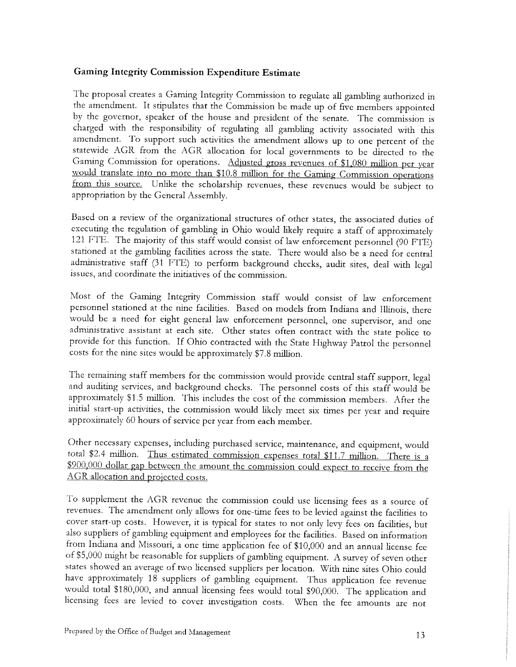## Gaming Integrity Commission Expenditure Estimate

The proposal creates a Gaming Integrity Commission to regulate all gambling authorized in the amendment. It stipulates that the Commission be made up of five members appointed by the governor, speaker of the house and president of the senate. The commission is charged with the responsibility of regulating all gambling activity associated with this amendment. To support such activities the amendment allows up to one percent of the statewide AGR from the AGR allocation for local governments to be directed to the Gaming Commission for operations. Adjusted gross revenues of \$1.080 million per year would translate into no more than \$10.8 million for the Gaming Commission operations from this source. Unlike the scholarship revenues, these revenues would be subject to appropriation by the General Assembly.

Based on a review of the organizational structures of other states, the associated duties of executing the regulation of gambling in Ohio would likely require a staff of approximately 121 FTE. The majority of this staff would consist of law enforcement personnel (90 FTE) stationed at the gambling facilities across the state. There would also be a need for central administrative staff (31 FTE) to perform background checks, audit sites, deal with legal issues, and coordinate the initiatives of the commission.

Most of the Gaming Integrity Commission staff would consist of law enforcement personnel stationed at the nine facilities. Based on models from Indiana and Illinois, there would be a need for eight general law enforcement personnel, one supervisor, and one administrative assistant at each site. Other states often contract with the state police to provide for this function. If Ohio contracted with the State Highway Patrol the personnel costs for the nine sites would be approximately \$7.8 million.

The remaining staff members for the commission would provide central staff support, legal and auditing services, and background checks. The personnel costs of this staff would be approximately \$1.5 million. This includes the cost of the commission members. After the initial start-up activities, the commission would likely meet six times per year and require approximately 60 hours of service per year from each member.

Other necessary expenses, including purchased service, maintenance, and equipment, would total \$2.4 million. Thus estimated commission expenses total \$11.7 million. There is a \$900,000 dollar gap between the amount the commission could expect to receive from the AGR allocation and projected costs.

To supplement the AGR revenue the commission could use licensing fees as a source of revenues. The amendment only allows for one-time fees to be levied against the facilities to cover start-up costs. However, it is typical for states to not only levy fees on facilities, but also suppliers of gambling equipment and employees for the facilities. Based on information from Indiana and Missouri, a one time application fee of \$10,000 and an annual license fee of \$5,000 might be reasonable for suppliers of gambling equipment. A survey of seven other states showed an average of two licensed suppliers per location. With nine sites Ohio could have approximately 18 suppliers of gambling equipment. Thus application fee revenue licensing fees are levied to cover investigation costs. When the fee amounts are not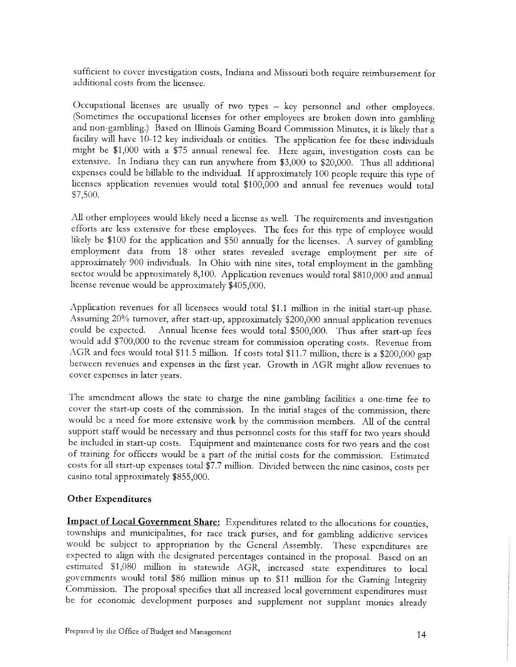sufficient to cover mvestigation costs, Indiana and Missouri both require reimbursement for additional costs from the licensee.

Occupational licenses are usually of two types - key personnel and other employees. (Sometimes the occupational licenses for other employees are broken down into gambling facility will have 10-12 key individuals or entities. The application fee for these individuals might be \$1,000 with a \$75 annual renewal fee. Here again, investigation costs can be extensive. In Indiana they can run anywhere from \$3,000 to \$20,000. Thus all additional expenses could be billable to the individual. If approximately 100 people require this type of licenses application revenues would total \$100,000 and annual fee revenues would total \$7,500.

All other employees would likely need a license as well. The requirements and investigation efforts are less extensive for these employees. The fees for this type of employee would likely be \$100 for the application and \$50 annually for the licenses. A survey of gambling employment data from 18 other states revealed average employment per site of approximately 900 individuals. In Ohio with nine sites, total employment in the gambling sector would be approximately 8,100. Application revenues would total \$810,000 and annual license revenue would be approximately \$405,000.

Application revenues for all licensees would total \$1.1 million in the initial start-up phase. Assuming 20% turnover, after start-up, approximately \$200,000 annual application revenues could be expected. Annual license fees would total \$500,000. Thus after start-up fees would add \$700,000 to the revenue stream for commission operating costs. Revenue from AGR and fees would total \$11.5 million. If costs total \$11.7 million, there is a \$200,000 gap between revenues and expenses in the first year. Growth in AGR might allow revenues to cover expenses in later years.

The amendment allows the state to charge the nine gambling facilities a one-time fee to cover the start-up costs of the commission. In the initial stages of the commission, there would be a need for more extensive work by the commission members. All of the central support staff would be necessary and thus personnel costs for this staff for two years should be included in start-up costs. Equipment and maintenance costs for two years and the cost of training for officers would be a part of the initial costs for the commission. Estimated costs for all start-up expenses total \$7.7 million. Divided between the nine casinos, costs per casino total approximately \$855,000.

## Other Expenditures

Impact of Local Government Share: Expenditures related to the allocations for counties, townships and municipalities, for race track purses, and for gambling addictive services would be subject to appropriation by the General Assembly. These expenditures are expected to align with the designated percentages contained in the proposal. Based on an estimated \$1,080 million in statewide AGR, increased state expenditures to local governments would total \$86 million minus up to \$11 million for the Gaming Integrity Commission. The proposal specifies that all increased local government expenditures must be for economic development purposes and supplement not supplant monies already